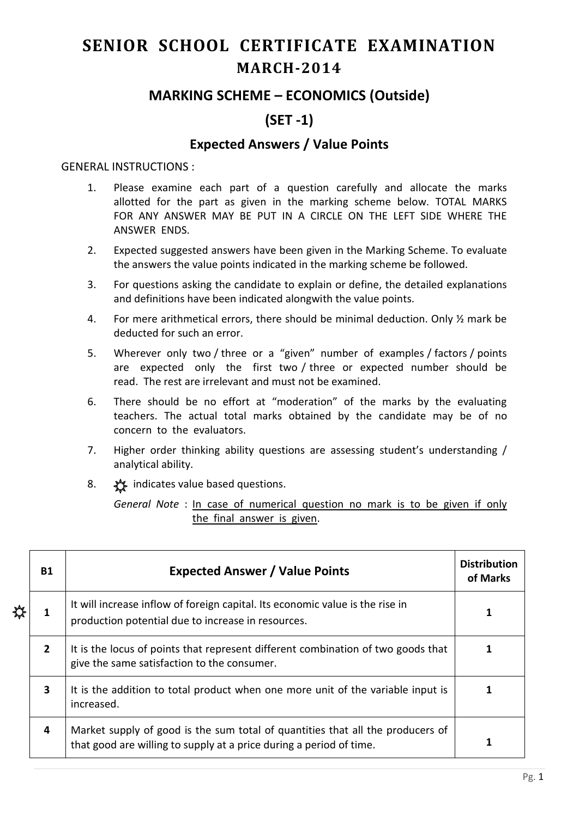# **SENIOR SCHOOL CERTIFICATE EXAMINATION MARCH-2014**

## **MARKING SCHEME – ECONOMICS (Outside)**

# **(SET -1)**

### **Expected Answers / Value Points**

#### GENERAL INSTRUCTIONS :

- 1. Please examine each part of a question carefully and allocate the marks allotted for the part as given in the marking scheme below. TOTAL MARKS FOR ANY ANSWER MAY BE PUT IN A CIRCLE ON THE LEFT SIDE WHERE THE ANSWER ENDS.
- 2. Expected suggested answers have been given in the Marking Scheme. To evaluate the answers the value points indicated in the marking scheme be followed.
- 3. For questions asking the candidate to explain or define, the detailed explanations and definitions have been indicated alongwith the value points.
- 4. For mere arithmetical errors, there should be minimal deduction. Only ½ mark be deducted for such an error.
- 5. Wherever only two / three or a "given" number of examples / factors / points are expected only the first two / three or expected number should be read. The rest are irrelevant and must not be examined.
- 6. There should be no effort at "moderation" of the marks by the evaluating teachers. The actual total marks obtained by the candidate may be of no concern to the evaluators.
- 7. Higher order thinking ability questions are assessing student's understanding / analytical ability.
- 8.  $\frac{1}{2}$  indicates value based questions.

*General Note* : In case of numerical question no mark is to be given if only the final answer is given.

| <b>B1</b>      | <b>Expected Answer / Value Points</b>                                                                                                                 | <b>Distribution</b><br>of Marks |
|----------------|-------------------------------------------------------------------------------------------------------------------------------------------------------|---------------------------------|
| 1              | It will increase inflow of foreign capital. Its economic value is the rise in<br>production potential due to increase in resources.                   |                                 |
| $\overline{2}$ | It is the locus of points that represent different combination of two goods that<br>give the same satisfaction to the consumer.                       |                                 |
| 3              | It is the addition to total product when one more unit of the variable input is<br>increased.                                                         |                                 |
| 4              | Market supply of good is the sum total of quantities that all the producers of<br>that good are willing to supply at a price during a period of time. |                                 |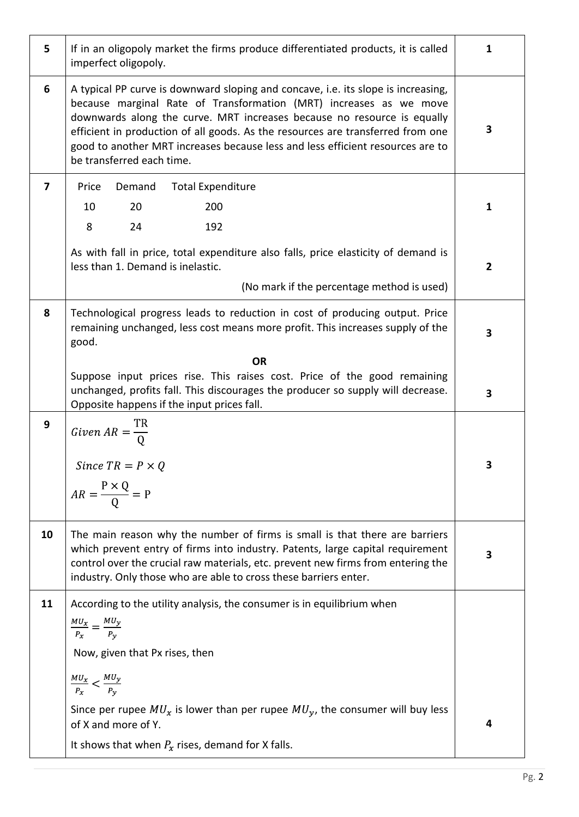| 5  | If in an oligopoly market the firms produce differentiated products, it is called<br>imperfect oligopoly.                                                                                                                                                                                                                                                                                                                            | $\mathbf{1}$ |
|----|--------------------------------------------------------------------------------------------------------------------------------------------------------------------------------------------------------------------------------------------------------------------------------------------------------------------------------------------------------------------------------------------------------------------------------------|--------------|
| 6  | A typical PP curve is downward sloping and concave, i.e. its slope is increasing,<br>because marginal Rate of Transformation (MRT) increases as we move<br>downwards along the curve. MRT increases because no resource is equally<br>efficient in production of all goods. As the resources are transferred from one<br>good to another MRT increases because less and less efficient resources are to<br>be transferred each time. | 3            |
| 7  | Price<br>Demand<br><b>Total Expenditure</b><br>200<br>10<br>20<br>8<br>24<br>192                                                                                                                                                                                                                                                                                                                                                     | $\mathbf{1}$ |
|    | As with fall in price, total expenditure also falls, price elasticity of demand is<br>less than 1. Demand is inelastic.<br>(No mark if the percentage method is used)                                                                                                                                                                                                                                                                | $\mathbf{2}$ |
| 8  | Technological progress leads to reduction in cost of producing output. Price<br>remaining unchanged, less cost means more profit. This increases supply of the<br>good.                                                                                                                                                                                                                                                              | 3            |
|    | <b>OR</b><br>Suppose input prices rise. This raises cost. Price of the good remaining<br>unchanged, profits fall. This discourages the producer so supply will decrease.<br>Opposite happens if the input prices fall.                                                                                                                                                                                                               | 3            |
| 9  | Given $AR = \frac{R}{0}$<br>Since $TR = P \times Q$<br>$AR = \frac{P \times Q}{Q} = P$                                                                                                                                                                                                                                                                                                                                               | 3            |
| 10 | The main reason why the number of firms is small is that there are barriers<br>which prevent entry of firms into industry. Patents, large capital requirement<br>control over the crucial raw materials, etc. prevent new firms from entering the<br>industry. Only those who are able to cross these barriers enter.                                                                                                                | 3            |
| 11 | According to the utility analysis, the consumer is in equilibrium when<br>$\frac{MU_x}{P_x} = \frac{MU_y}{P_v}$<br>Now, given that Px rises, then<br>$\frac{MU_x}{P_x} < \frac{MU_y}{P_y}$                                                                                                                                                                                                                                           |              |
|    | Since per rupee $MU_x$ is lower than per rupee $MU_y$ , the consumer will buy less<br>of X and more of Y.<br>It shows that when $P_x$ rises, demand for X falls.                                                                                                                                                                                                                                                                     | 4            |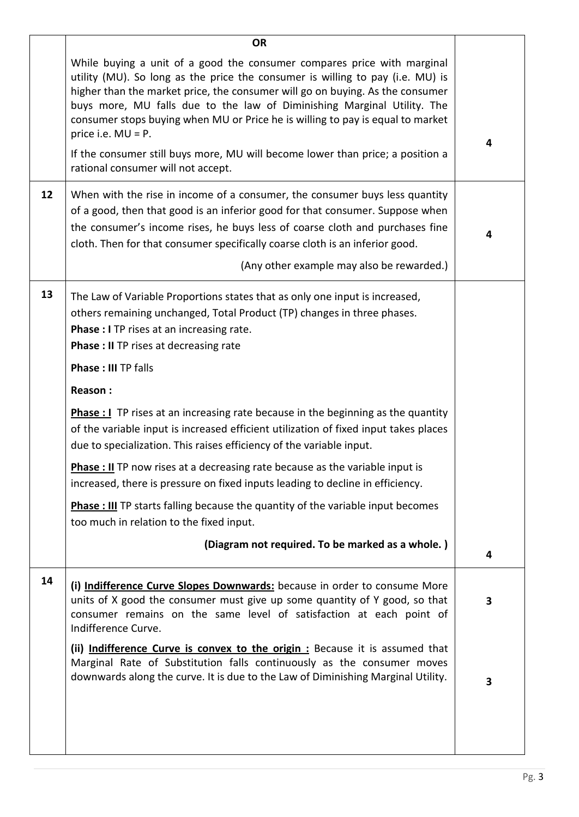|    | <b>OR</b>                                                                                                                                                                                                                                                                                                                                                                                                                        |   |
|----|----------------------------------------------------------------------------------------------------------------------------------------------------------------------------------------------------------------------------------------------------------------------------------------------------------------------------------------------------------------------------------------------------------------------------------|---|
|    | While buying a unit of a good the consumer compares price with marginal<br>utility (MU). So long as the price the consumer is willing to pay (i.e. MU) is<br>higher than the market price, the consumer will go on buying. As the consumer<br>buys more, MU falls due to the law of Diminishing Marginal Utility. The<br>consumer stops buying when MU or Price he is willing to pay is equal to market<br>price i.e. $MU = P$ . | 4 |
|    | If the consumer still buys more, MU will become lower than price; a position a<br>rational consumer will not accept.                                                                                                                                                                                                                                                                                                             |   |
| 12 | When with the rise in income of a consumer, the consumer buys less quantity<br>of a good, then that good is an inferior good for that consumer. Suppose when<br>the consumer's income rises, he buys less of coarse cloth and purchases fine<br>cloth. Then for that consumer specifically coarse cloth is an inferior good.<br>(Any other example may also be rewarded.)                                                        | 4 |
| 13 | The Law of Variable Proportions states that as only one input is increased,<br>others remaining unchanged, Total Product (TP) changes in three phases.<br>Phase : I TP rises at an increasing rate.<br><b>Phase : II</b> TP rises at decreasing rate                                                                                                                                                                             |   |
|    | <b>Phase: III TP falls</b>                                                                                                                                                                                                                                                                                                                                                                                                       |   |
|    | Reason:                                                                                                                                                                                                                                                                                                                                                                                                                          |   |
|    | <b>Phase : I</b> TP rises at an increasing rate because in the beginning as the quantity<br>of the variable input is increased efficient utilization of fixed input takes places<br>due to specialization. This raises efficiency of the variable input.                                                                                                                                                                         |   |
|    | <b>Phase : II</b> TP now rises at a decreasing rate because as the variable input is<br>increased, there is pressure on fixed inputs leading to decline in efficiency.                                                                                                                                                                                                                                                           |   |
|    | <b>Phase : III</b> TP starts falling because the quantity of the variable input becomes<br>too much in relation to the fixed input.                                                                                                                                                                                                                                                                                              |   |
|    | (Diagram not required. To be marked as a whole.)                                                                                                                                                                                                                                                                                                                                                                                 | 4 |
| 14 | (i) Indifference Curve Slopes Downwards: because in order to consume More<br>units of X good the consumer must give up some quantity of Y good, so that<br>consumer remains on the same level of satisfaction at each point of<br>Indifference Curve.                                                                                                                                                                            | 3 |
|    | (ii) Indifference Curve is convex to the origin : Because it is assumed that<br>Marginal Rate of Substitution falls continuously as the consumer moves<br>downwards along the curve. It is due to the Law of Diminishing Marginal Utility.                                                                                                                                                                                       | 3 |
|    |                                                                                                                                                                                                                                                                                                                                                                                                                                  |   |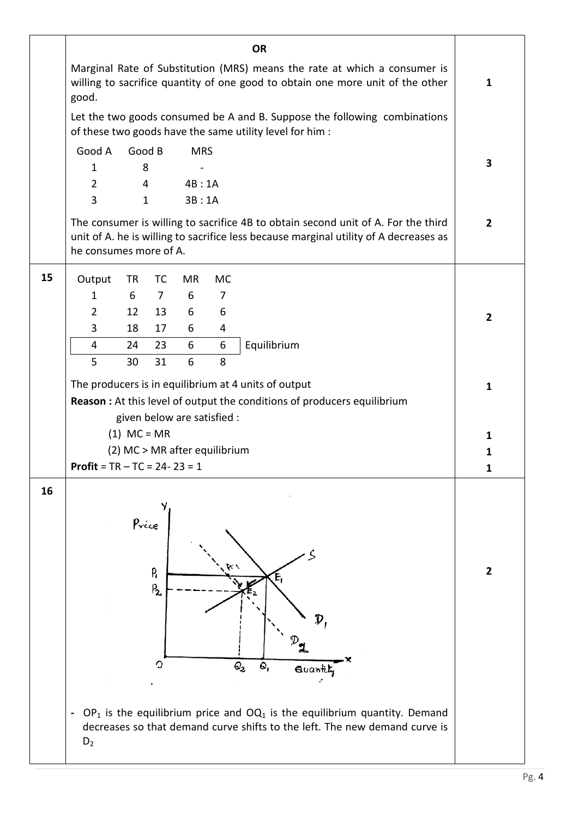|    |                                         |               |                 |            |                               | <b>OR</b>                                                                                                                                                                  |                |
|----|-----------------------------------------|---------------|-----------------|------------|-------------------------------|----------------------------------------------------------------------------------------------------------------------------------------------------------------------------|----------------|
|    | good.                                   |               |                 |            |                               | Marginal Rate of Substitution (MRS) means the rate at which a consumer is<br>willing to sacrifice quantity of one good to obtain one more unit of the other                | $\mathbf{1}$   |
|    |                                         |               |                 |            |                               | Let the two goods consumed be A and B. Suppose the following combinations<br>of these two goods have the same utility level for him :                                      |                |
|    | Good A                                  |               | Good B          | <b>MRS</b> |                               |                                                                                                                                                                            |                |
|    | $\mathbf{1}$                            | 8             |                 |            |                               |                                                                                                                                                                            | 3              |
|    | $\overline{2}$                          |               | 4               | 4B:1A      |                               |                                                                                                                                                                            |                |
|    | 3                                       |               | $\mathbf{1}$    | 3B:1A      |                               |                                                                                                                                                                            |                |
|    | he consumes more of A.                  |               |                 |            |                               | The consumer is willing to sacrifice 4B to obtain second unit of A. For the third<br>unit of A. he is willing to sacrifice less because marginal utility of A decreases as | $\overline{2}$ |
| 15 | Output                                  | <b>TR</b>     | <b>TC</b>       | MR         | MC                            |                                                                                                                                                                            |                |
|    | 1                                       | 6             | $7\overline{ }$ | 6          | $\overline{7}$                |                                                                                                                                                                            |                |
|    | $\overline{2}$                          | 12            | 13              | 6          | 6                             |                                                                                                                                                                            | $\mathbf{2}$   |
|    | 3                                       | 18            | 17              | 6          | 4                             |                                                                                                                                                                            |                |
|    | 4                                       | 24            | 23              | 6          | 6                             | Equilibrium                                                                                                                                                                |                |
|    | 5                                       | 30            | 31              | 6          | 8                             |                                                                                                                                                                            |                |
|    |                                         |               |                 |            |                               | The producers is in equilibrium at 4 units of output                                                                                                                       | $\mathbf{1}$   |
|    |                                         |               |                 |            |                               | <b>Reason :</b> At this level of output the conditions of producers equilibrium                                                                                            |                |
|    |                                         |               |                 |            | given below are satisfied :   |                                                                                                                                                                            |                |
|    |                                         | $(1)$ MC = MR |                 |            |                               |                                                                                                                                                                            | 1              |
|    |                                         |               |                 |            | (2) MC > MR after equilibrium |                                                                                                                                                                            | $\mathbf 1$    |
|    | <b>Profit</b> = $TR - TC = 24 - 23 = 1$ |               |                 |            |                               |                                                                                                                                                                            | 1              |
| 16 |                                         | Price         | P,<br>$P_{2}$   |            |                               | $\mathsf{Q}_2$<br>۵,<br>Quantity                                                                                                                                           | $\mathbf{2}$   |
|    | $D_2$                                   |               |                 |            |                               | $OP_1$ is the equilibrium price and $OQ_1$ is the equilibrium quantity. Demand<br>decreases so that demand curve shifts to the left. The new demand curve is               |                |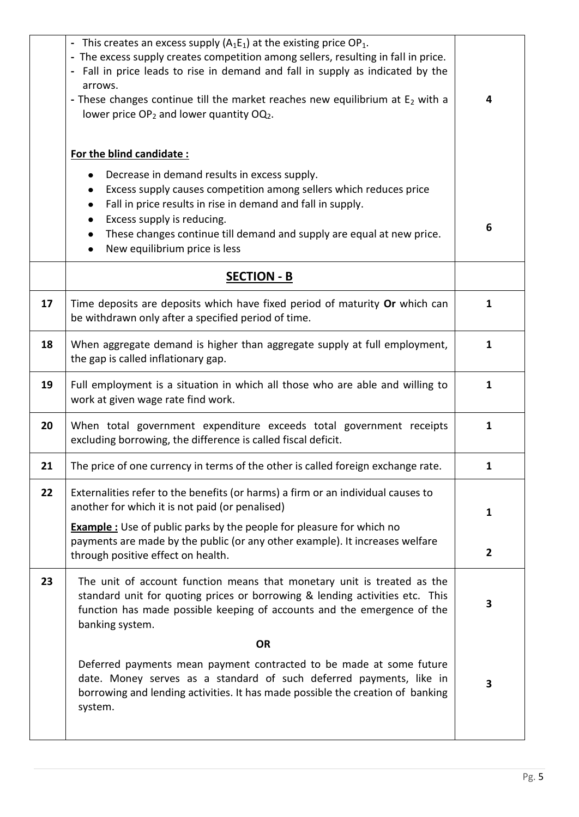|    | - This creates an excess supply $(A_1E_1)$ at the existing price OP <sub>1</sub> .<br>- The excess supply creates competition among sellers, resulting in fall in price.<br>- Fall in price leads to rise in demand and fall in supply as indicated by the<br>arrows.<br>- These changes continue till the market reaches new equilibrium at $E_2$ with a<br>lower price $OP_2$ and lower quantity $OQ_2$ .<br>For the blind candidate:<br>Decrease in demand results in excess supply.<br>Excess supply causes competition among sellers which reduces price<br>Fall in price results in rise in demand and fall in supply.<br>٠<br>Excess supply is reducing.<br>٠<br>These changes continue till demand and supply are equal at new price.<br>٠<br>New equilibrium price is less | 4<br>6         |
|----|-------------------------------------------------------------------------------------------------------------------------------------------------------------------------------------------------------------------------------------------------------------------------------------------------------------------------------------------------------------------------------------------------------------------------------------------------------------------------------------------------------------------------------------------------------------------------------------------------------------------------------------------------------------------------------------------------------------------------------------------------------------------------------------|----------------|
|    | <b>SECTION - B</b>                                                                                                                                                                                                                                                                                                                                                                                                                                                                                                                                                                                                                                                                                                                                                                  |                |
| 17 | Time deposits are deposits which have fixed period of maturity Or which can<br>be withdrawn only after a specified period of time.                                                                                                                                                                                                                                                                                                                                                                                                                                                                                                                                                                                                                                                  | 1              |
| 18 | When aggregate demand is higher than aggregate supply at full employment,<br>the gap is called inflationary gap.                                                                                                                                                                                                                                                                                                                                                                                                                                                                                                                                                                                                                                                                    | $\mathbf{1}$   |
| 19 | Full employment is a situation in which all those who are able and willing to<br>work at given wage rate find work.                                                                                                                                                                                                                                                                                                                                                                                                                                                                                                                                                                                                                                                                 | $\mathbf{1}$   |
| 20 | When total government expenditure exceeds total government receipts<br>excluding borrowing, the difference is called fiscal deficit.                                                                                                                                                                                                                                                                                                                                                                                                                                                                                                                                                                                                                                                | $\mathbf{1}$   |
| 21 | The price of one currency in terms of the other is called foreign exchange rate.                                                                                                                                                                                                                                                                                                                                                                                                                                                                                                                                                                                                                                                                                                    | 1              |
| 22 | Externalities refer to the benefits (or harms) a firm or an individual causes to<br>another for which it is not paid (or penalised)                                                                                                                                                                                                                                                                                                                                                                                                                                                                                                                                                                                                                                                 | $\mathbf{1}$   |
|    | <b>Example</b> : Use of public parks by the people for pleasure for which no<br>payments are made by the public (or any other example). It increases welfare<br>through positive effect on health.                                                                                                                                                                                                                                                                                                                                                                                                                                                                                                                                                                                  | $\overline{2}$ |
| 23 | The unit of account function means that monetary unit is treated as the<br>standard unit for quoting prices or borrowing & lending activities etc. This<br>function has made possible keeping of accounts and the emergence of the<br>banking system.                                                                                                                                                                                                                                                                                                                                                                                                                                                                                                                               | 3              |
|    | <b>OR</b>                                                                                                                                                                                                                                                                                                                                                                                                                                                                                                                                                                                                                                                                                                                                                                           |                |
|    | Deferred payments mean payment contracted to be made at some future<br>date. Money serves as a standard of such deferred payments, like in<br>borrowing and lending activities. It has made possible the creation of banking<br>system.                                                                                                                                                                                                                                                                                                                                                                                                                                                                                                                                             | 3              |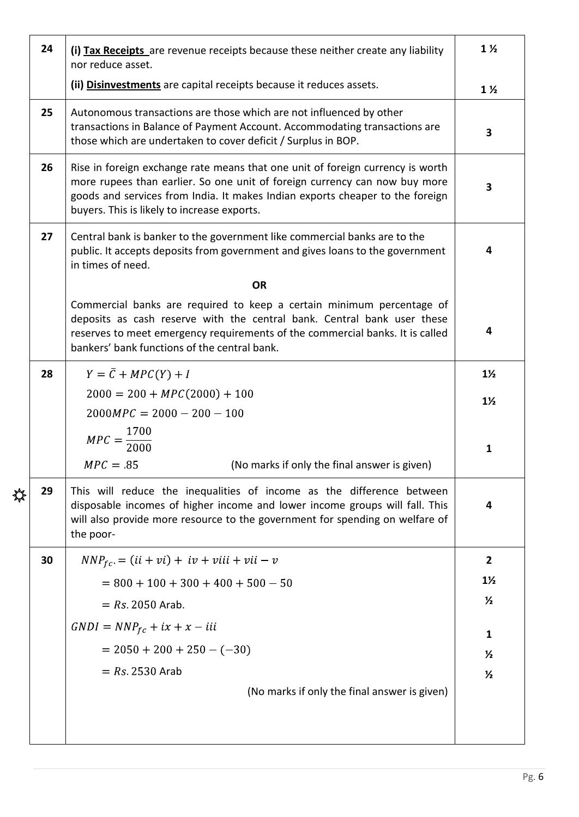| 24 | (i) Tax Receipts are revenue receipts because these neither create any liability<br>nor reduce asset.                                                                                                                                                                                        | $1\frac{1}{2}$ |
|----|----------------------------------------------------------------------------------------------------------------------------------------------------------------------------------------------------------------------------------------------------------------------------------------------|----------------|
|    | (ii) Disinvestments are capital receipts because it reduces assets.                                                                                                                                                                                                                          | $1\frac{1}{2}$ |
| 25 | Autonomous transactions are those which are not influenced by other<br>transactions in Balance of Payment Account. Accommodating transactions are<br>those which are undertaken to cover deficit / Surplus in BOP.                                                                           | 3              |
| 26 | Rise in foreign exchange rate means that one unit of foreign currency is worth<br>more rupees than earlier. So one unit of foreign currency can now buy more<br>goods and services from India. It makes Indian exports cheaper to the foreign<br>buyers. This is likely to increase exports. | 3              |
| 27 | Central bank is banker to the government like commercial banks are to the<br>public. It accepts deposits from government and gives loans to the government<br>in times of need.                                                                                                              | 4              |
|    | <b>OR</b>                                                                                                                                                                                                                                                                                    |                |
|    | Commercial banks are required to keep a certain minimum percentage of<br>deposits as cash reserve with the central bank. Central bank user these<br>reserves to meet emergency requirements of the commercial banks. It is called<br>bankers' bank functions of the central bank.            | 4              |
| 28 | $Y = \overline{C} + MPC(Y) + I$                                                                                                                                                                                                                                                              | $1\frac{1}{2}$ |
|    | $2000 = 200 + MPC(2000) + 100$                                                                                                                                                                                                                                                               | $1\frac{1}{2}$ |
|    | $2000MPC = 2000 - 200 - 100$                                                                                                                                                                                                                                                                 |                |
|    | $MPC = \frac{1700}{2000}$                                                                                                                                                                                                                                                                    |                |
|    | $MPC = 85$<br>(No marks if only the final answer is given)                                                                                                                                                                                                                                   | $\mathbf{1}$   |
| 29 | This will reduce the inequalities of income as the difference between<br>disposable incomes of higher income and lower income groups will fall. This<br>will also provide more resource to the government for spending on welfare of<br>the poor-                                            | 4              |
| 30 | $NNP_{fc} = (ii + vi) + iv + viii + vii - v$                                                                                                                                                                                                                                                 | $\overline{2}$ |
|    | $= 800 + 100 + 300 + 400 + 500 - 50$                                                                                                                                                                                                                                                         | $1\frac{1}{2}$ |
|    | $= Rs. 2050$ Arab.                                                                                                                                                                                                                                                                           | $\frac{1}{2}$  |
|    | $GNDI = NNPfc + ix + x - iii$                                                                                                                                                                                                                                                                | $\mathbf{1}$   |
|    | $= 2050 + 200 + 250 - (-30)$                                                                                                                                                                                                                                                                 | $\frac{1}{2}$  |
|    | $= Rs 2530$ Arab                                                                                                                                                                                                                                                                             | $\frac{1}{2}$  |
|    | (No marks if only the final answer is given)                                                                                                                                                                                                                                                 |                |
|    |                                                                                                                                                                                                                                                                                              |                |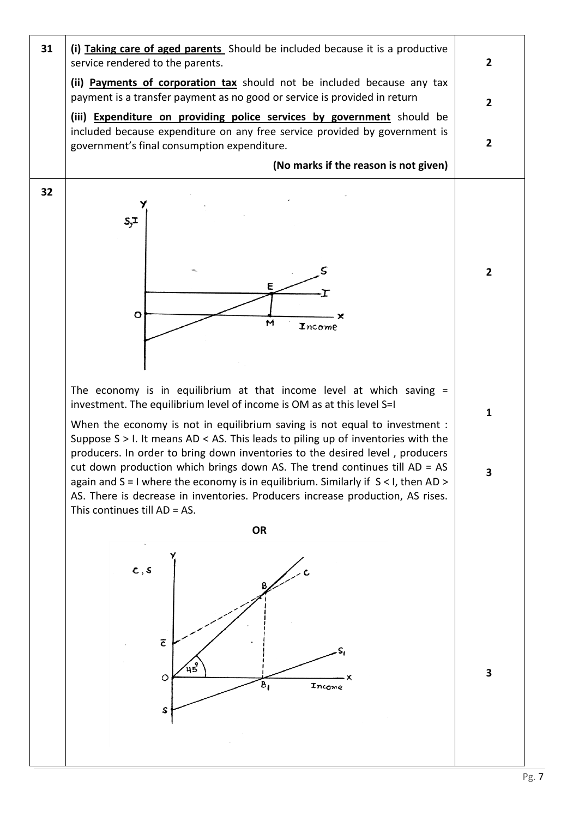